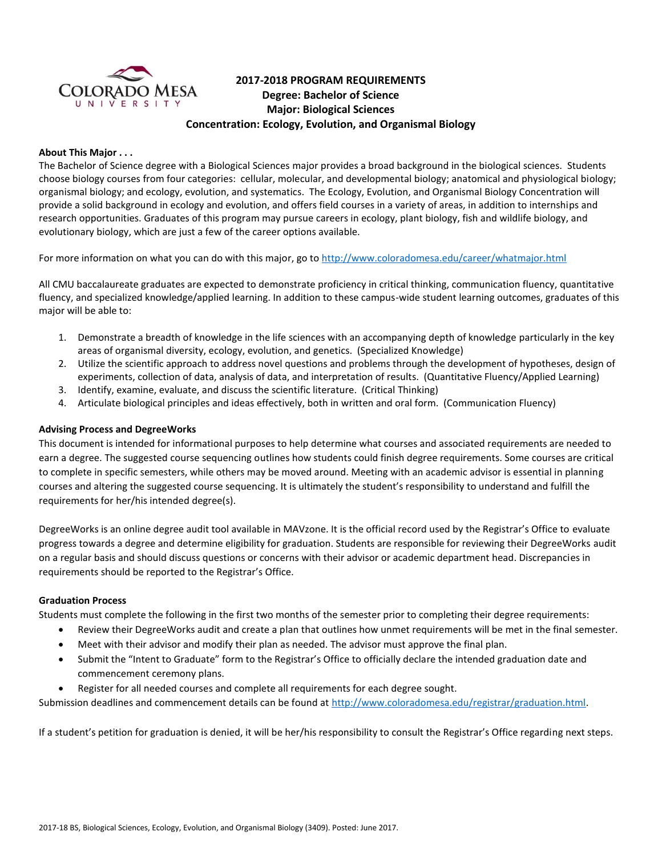

# **2017-2018 PROGRAM REQUIREMENTS Degree: Bachelor of Science Major: Biological Sciences Concentration: Ecology, Evolution, and Organismal Biology**

# **About This Major . . .**

The Bachelor of Science degree with a Biological Sciences major provides a broad background in the biological sciences. Students choose biology courses from four categories: cellular, molecular, and developmental biology; anatomical and physiological biology; organismal biology; and ecology, evolution, and systematics. The Ecology, Evolution, and Organismal Biology Concentration will provide a solid background in ecology and evolution, and offers field courses in a variety of areas, in addition to internships and research opportunities. Graduates of this program may pursue careers in ecology, plant biology, fish and wildlife biology, and evolutionary biology, which are just a few of the career options available.

For more information on what you can do with this major, go t[o http://www.coloradomesa.edu/career/whatmajor.html](http://www.coloradomesa.edu/career/whatmajor.html)

All CMU baccalaureate graduates are expected to demonstrate proficiency in critical thinking, communication fluency, quantitative fluency, and specialized knowledge/applied learning. In addition to these campus-wide student learning outcomes, graduates of this major will be able to:

- 1. Demonstrate a breadth of knowledge in the life sciences with an accompanying depth of knowledge particularly in the key areas of organismal diversity, ecology, evolution, and genetics. (Specialized Knowledge)
- 2. Utilize the scientific approach to address novel questions and problems through the development of hypotheses, design of experiments, collection of data, analysis of data, and interpretation of results. (Quantitative Fluency/Applied Learning)
- 3. Identify, examine, evaluate, and discuss the scientific literature. (Critical Thinking)
- 4. Articulate biological principles and ideas effectively, both in written and oral form. (Communication Fluency)

#### **Advising Process and DegreeWorks**

This document is intended for informational purposes to help determine what courses and associated requirements are needed to earn a degree. The suggested course sequencing outlines how students could finish degree requirements. Some courses are critical to complete in specific semesters, while others may be moved around. Meeting with an academic advisor is essential in planning courses and altering the suggested course sequencing. It is ultimately the student's responsibility to understand and fulfill the requirements for her/his intended degree(s).

DegreeWorks is an online degree audit tool available in MAVzone. It is the official record used by the Registrar's Office to evaluate progress towards a degree and determine eligibility for graduation. Students are responsible for reviewing their DegreeWorks audit on a regular basis and should discuss questions or concerns with their advisor or academic department head. Discrepancies in requirements should be reported to the Registrar's Office.

#### **Graduation Process**

Students must complete the following in the first two months of the semester prior to completing their degree requirements:

- Review their DegreeWorks audit and create a plan that outlines how unmet requirements will be met in the final semester.
- Meet with their advisor and modify their plan as needed. The advisor must approve the final plan.
- Submit the "Intent to Graduate" form to the Registrar's Office to officially declare the intended graduation date and commencement ceremony plans.
- Register for all needed courses and complete all requirements for each degree sought.

Submission deadlines and commencement details can be found at [http://www.coloradomesa.edu/registrar/graduation.html.](http://www.coloradomesa.edu/registrar/graduation.html)

If a student's petition for graduation is denied, it will be her/his responsibility to consult the Registrar's Office regarding next steps.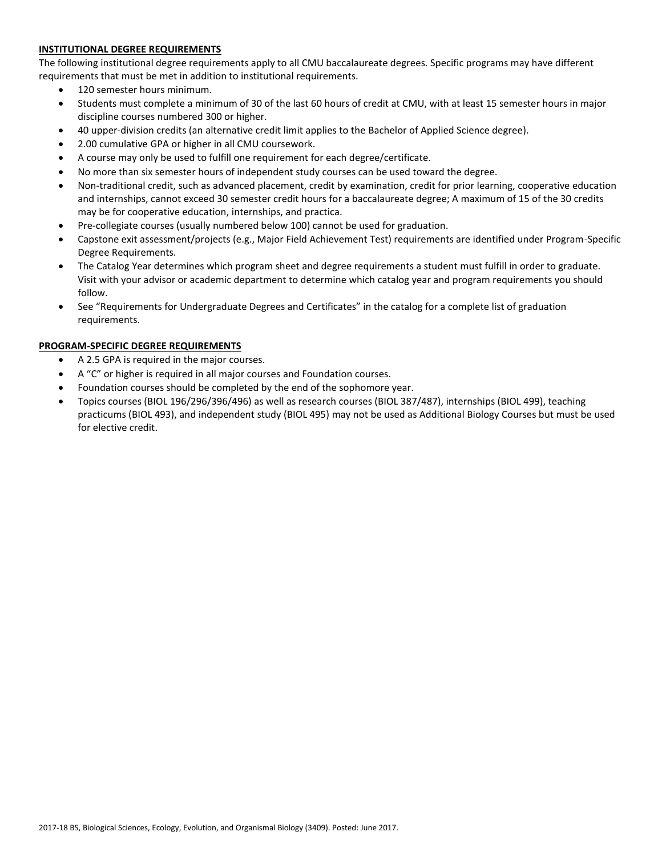# **INSTITUTIONAL DEGREE REQUIREMENTS**

The following institutional degree requirements apply to all CMU baccalaureate degrees. Specific programs may have different requirements that must be met in addition to institutional requirements.

- 120 semester hours minimum.
- Students must complete a minimum of 30 of the last 60 hours of credit at CMU, with at least 15 semester hours in major discipline courses numbered 300 or higher.
- 40 upper-division credits (an alternative credit limit applies to the Bachelor of Applied Science degree).
- 2.00 cumulative GPA or higher in all CMU coursework.
- A course may only be used to fulfill one requirement for each degree/certificate.
- No more than six semester hours of independent study courses can be used toward the degree.
- Non-traditional credit, such as advanced placement, credit by examination, credit for prior learning, cooperative education and internships, cannot exceed 30 semester credit hours for a baccalaureate degree; A maximum of 15 of the 30 credits may be for cooperative education, internships, and practica.
- Pre-collegiate courses (usually numbered below 100) cannot be used for graduation.
- Capstone exit assessment/projects (e.g., Major Field Achievement Test) requirements are identified under Program-Specific Degree Requirements.
- The Catalog Year determines which program sheet and degree requirements a student must fulfill in order to graduate. Visit with your advisor or academic department to determine which catalog year and program requirements you should follow.
- See "Requirements for Undergraduate Degrees and Certificates" in the catalog for a complete list of graduation requirements.

# **PROGRAM-SPECIFIC DEGREE REQUIREMENTS**

- A 2.5 GPA is required in the major courses.
- A "C" or higher is required in all major courses and Foundation courses.
- Foundation courses should be completed by the end of the sophomore year.
- Topics courses (BIOL 196/296/396/496) as well as research courses (BIOL 387/487), internships (BIOL 499), teaching practicums (BIOL 493), and independent study (BIOL 495) may not be used as Additional Biology Courses but must be used for elective credit.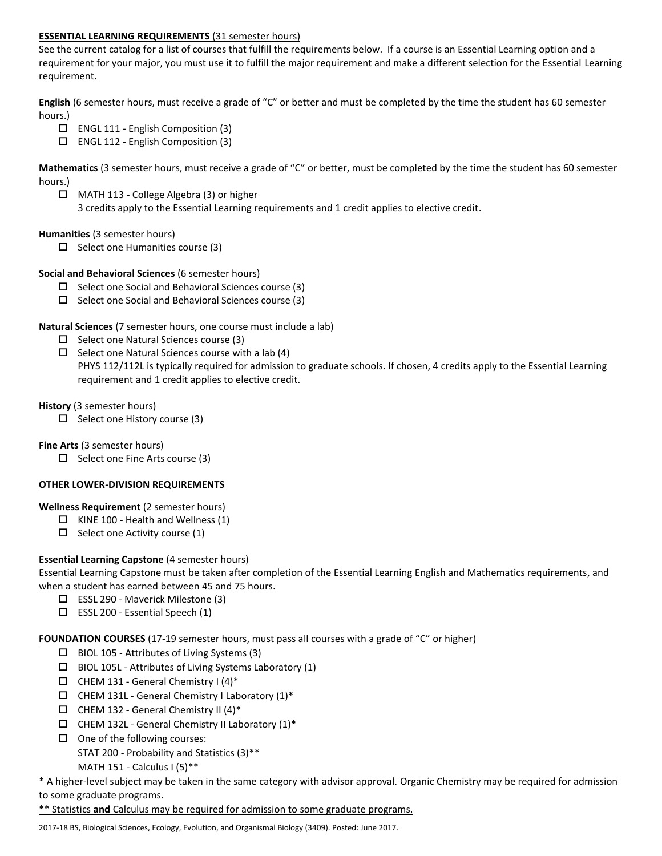# **ESSENTIAL LEARNING REQUIREMENTS** (31 semester hours)

See the current catalog for a list of courses that fulfill the requirements below. If a course is an Essential Learning option and a requirement for your major, you must use it to fulfill the major requirement and make a different selection for the Essential Learning requirement.

**English** (6 semester hours, must receive a grade of "C" or better and must be completed by the time the student has 60 semester hours.)

- $\Box$  ENGL 111 English Composition (3)
- $\Box$  ENGL 112 English Composition (3)

**Mathematics** (3 semester hours, must receive a grade of "C" or better, must be completed by the time the student has 60 semester hours.)

 MATH 113 - College Algebra (3) or higher 3 credits apply to the Essential Learning requirements and 1 credit applies to elective credit.

# **Humanities** (3 semester hours)

 $\Box$  Select one Humanities course (3)

# **Social and Behavioral Sciences** (6 semester hours)

- $\square$  Select one Social and Behavioral Sciences course (3)
- $\Box$  Select one Social and Behavioral Sciences course (3)

**Natural Sciences** (7 semester hours, one course must include a lab)

- $\Box$  Select one Natural Sciences course (3)
- $\square$  Select one Natural Sciences course with a lab (4) PHYS 112/112L is typically required for admission to graduate schools. If chosen, 4 credits apply to the Essential Learning requirement and 1 credit applies to elective credit.

# **History** (3 semester hours)

 $\Box$  Select one History course (3)

**Fine Arts** (3 semester hours)

 $\Box$  Select one Fine Arts course (3)

# **OTHER LOWER-DIVISION REQUIREMENTS**

# **Wellness Requirement** (2 semester hours)

- $\Box$  KINE 100 Health and Wellness (1)
- $\Box$  Select one Activity course (1)

# **Essential Learning Capstone** (4 semester hours)

Essential Learning Capstone must be taken after completion of the Essential Learning English and Mathematics requirements, and when a student has earned between 45 and 75 hours.

- ESSL 290 Maverick Milestone (3)
- $\square$  ESSL 200 Essential Speech (1)

**FOUNDATION COURSES** (17-19 semester hours, must pass all courses with a grade of "C" or higher)

- $\Box$  BIOL 105 Attributes of Living Systems (3)
- $\Box$  BIOL 105L Attributes of Living Systems Laboratory (1)
- $\Box$  CHEM 131 General Chemistry I (4)\*
- $\Box$  CHEM 131L General Chemistry I Laboratory (1)\*
- $\Box$  CHEM 132 General Chemistry II (4)\*
- $\Box$  CHEM 132L General Chemistry II Laboratory (1)\*
- $\Box$  One of the following courses:
	- STAT 200 Probability and Statistics (3)\*\*
	- MATH 151 Calculus I (5)\*\*

\* A higher-level subject may be taken in the same category with advisor approval. Organic Chemistry may be required for admission to some graduate programs.

\*\* Statistics **and** Calculus may be required for admission to some graduate programs.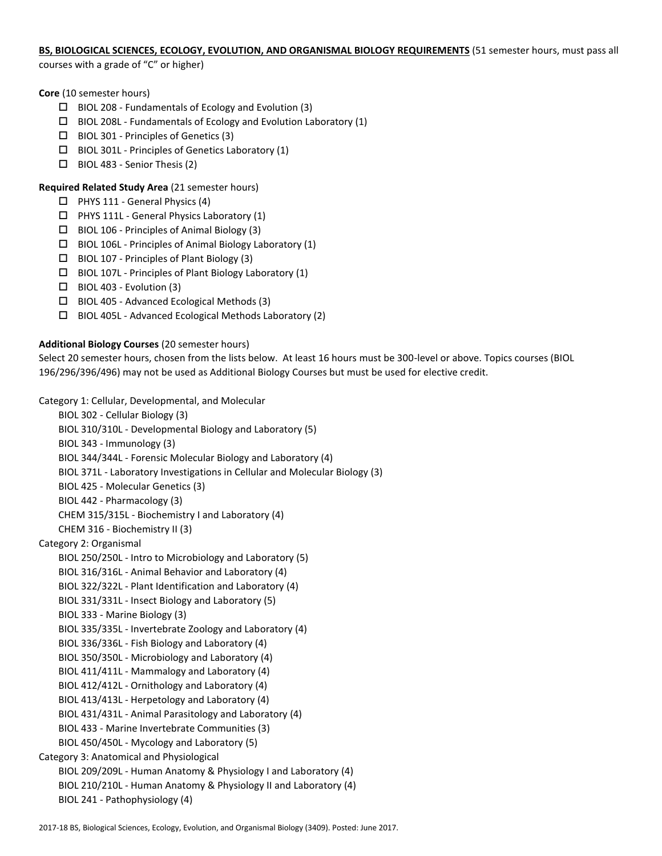## **BS, BIOLOGICAL SCIENCES, ECOLOGY, EVOLUTION, AND ORGANISMAL BIOLOGY REQUIREMENTS** (51 semester hours, must pass all

courses with a grade of "C" or higher)

### **Core** (10 semester hours)

- $\square$  BIOL 208 Fundamentals of Ecology and Evolution (3)
- $\Box$  BIOL 208L Fundamentals of Ecology and Evolution Laboratory (1)
- BIOL 301 Principles of Genetics (3)
- $\Box$  BIOL 301L Principles of Genetics Laboratory (1)
- $\Box$  BIOL 483 Senior Thesis (2)

## **Required Related Study Area** (21 semester hours)

- $\Box$  PHYS 111 General Physics (4)
- $\Box$  PHYS 111L General Physics Laboratory (1)
- $\Box$  BIOL 106 Principles of Animal Biology (3)
- $\square$  BIOL 106L Principles of Animal Biology Laboratory (1)
- $\Box$  BIOL 107 Principles of Plant Biology (3)
- $\square$  BIOL 107L Principles of Plant Biology Laboratory (1)
- $\Box$  BIOL 403 Evolution (3)
- $\Box$  BIOL 405 Advanced Ecological Methods (3)
- BIOL 405L Advanced Ecological Methods Laboratory (2)

### **Additional Biology Courses** (20 semester hours)

Select 20 semester hours, chosen from the lists below. At least 16 hours must be 300-level or above. Topics courses (BIOL 196/296/396/496) may not be used as Additional Biology Courses but must be used for elective credit.

Category 1: Cellular, Developmental, and Molecular

BIOL 302 - Cellular Biology (3) BIOL 310/310L - Developmental Biology and Laboratory (5) BIOL 343 - Immunology (3) BIOL 344/344L - Forensic Molecular Biology and Laboratory (4) BIOL 371L - Laboratory Investigations in Cellular and Molecular Biology (3) BIOL 425 - Molecular Genetics (3) BIOL 442 - Pharmacology (3) CHEM 315/315L - Biochemistry I and Laboratory (4) CHEM 316 - Biochemistry II (3) Category 2: Organismal BIOL 250/250L - Intro to Microbiology and Laboratory (5) BIOL 316/316L - Animal Behavior and Laboratory (4) BIOL 322/322L - Plant Identification and Laboratory (4) BIOL 331/331L - Insect Biology and Laboratory (5) BIOL 333 - Marine Biology (3) BIOL 335/335L - Invertebrate Zoology and Laboratory (4) BIOL 336/336L - Fish Biology and Laboratory (4) BIOL 350/350L - Microbiology and Laboratory (4) BIOL 411/411L - Mammalogy and Laboratory (4) BIOL 412/412L - Ornithology and Laboratory (4) BIOL 413/413L - Herpetology and Laboratory (4) BIOL 431/431L - Animal Parasitology and Laboratory (4) BIOL 433 - Marine Invertebrate Communities (3) BIOL 450/450L - Mycology and Laboratory (5) Category 3: Anatomical and Physiological BIOL 209/209L - Human Anatomy & Physiology I and Laboratory (4) BIOL 210/210L - Human Anatomy & Physiology II and Laboratory (4) BIOL 241 - Pathophysiology (4)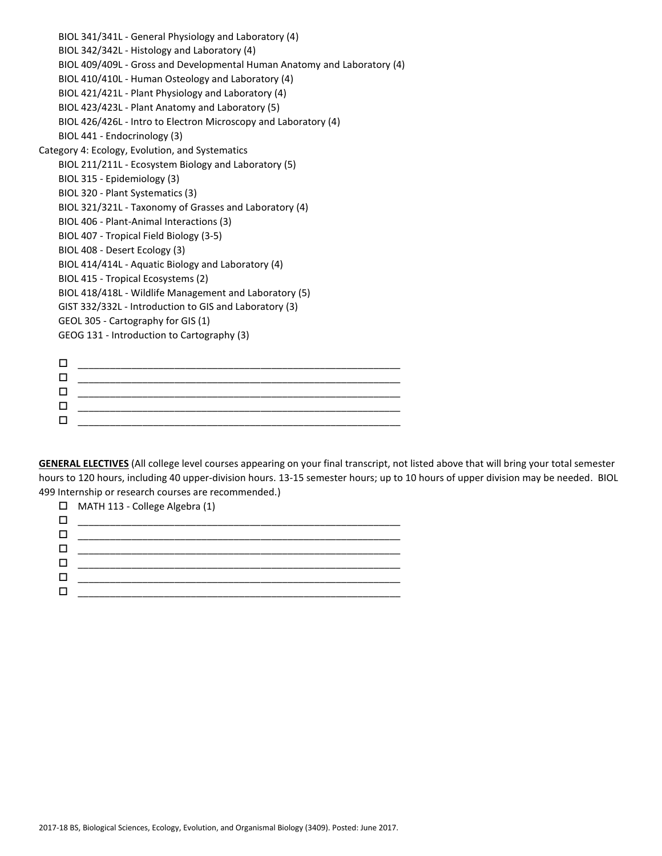| BIOL 341/341L - General Physiology and Laboratory (4)                    |
|--------------------------------------------------------------------------|
| BIOL 342/342L - Histology and Laboratory (4)                             |
| BIOL 409/409L - Gross and Developmental Human Anatomy and Laboratory (4) |
| BIOL 410/410L - Human Osteology and Laboratory (4)                       |
| BIOL 421/421L - Plant Physiology and Laboratory (4)                      |
| BIOL 423/423L - Plant Anatomy and Laboratory (5)                         |
| BIOL 426/426L - Intro to Electron Microscopy and Laboratory (4)          |
| BIOL 441 - Endocrinology (3)                                             |
| Category 4: Ecology, Evolution, and Systematics                          |
| BIOL 211/211L - Ecosystem Biology and Laboratory (5)                     |
| BIOL 315 - Epidemiology (3)                                              |
| BIOL 320 - Plant Systematics (3)                                         |
| BIOL 321/321L - Taxonomy of Grasses and Laboratory (4)                   |
| BIOL 406 - Plant-Animal Interactions (3)                                 |
| BIOL 407 - Tropical Field Biology (3-5)                                  |
| BIOL 408 - Desert Ecology (3)                                            |
| BIOL 414/414L - Aquatic Biology and Laboratory (4)                       |
| BIOL 415 - Tropical Ecosystems (2)                                       |
| BIOL 418/418L - Wildlife Management and Laboratory (5)                   |
| GIST 332/332L - Introduction to GIS and Laboratory (3)                   |
| GEOL 305 - Cartography for GIS (1)                                       |
| GEOG 131 - Introduction to Cartography (3)                               |
|                                                                          |
| □                                                                        |
| □                                                                        |
| □                                                                        |
| □                                                                        |
| $\Box$                                                                   |

**GENERAL ELECTIVES** (All college level courses appearing on your final transcript, not listed above that will bring your total semester hours to 120 hours, including 40 upper-division hours. 13-15 semester hours; up to 10 hours of upper division may be needed. BIOL 499 Internship or research courses are recommended.)